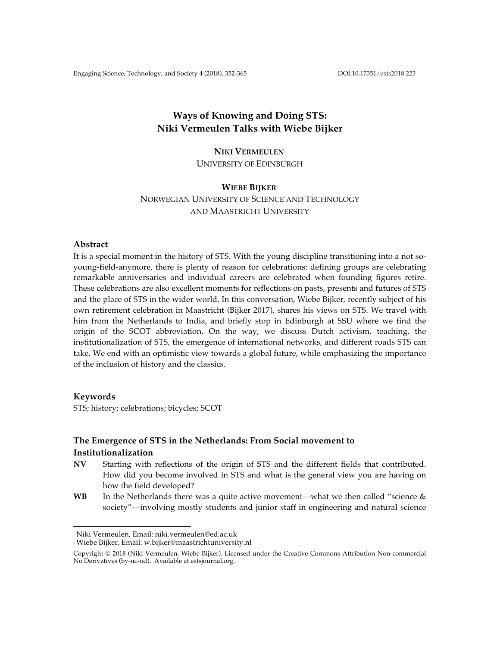Engaging Science, Technology, and Society 4 (2018), 352-365 DOI:10.17351/ests2018.223

# **Ways of Knowing and Doing STS: Niki Vermeulen Talks with Wiebe Bijker**

## **NIKI VERMEULEN**<sup>1</sup>

UNIVERSITY OF EDINBURGH

## **WIEBE BIJKER**<sup>2</sup> NORWEGIAN UNIVERSITY OF SCIENCE AND TECHNOLOGY

AND MAASTRICHT UNIVERSITY

## **Abstract**

It is a special moment in the history of STS. With the young discipline transitioning into a not soyoung-field-anymore, there is plenty of reason for celebrations: defining groups are celebrating remarkable anniversaries and individual careers are celebrated when founding figures retire. These celebrations are also excellent moments for reflections on pasts, presents and futures of STS and the place of STS in the wider world. In this conversation, Wiebe Bijker, recently subject of his own retirement celebration in Maastricht (Bijker 2017), shares his views on STS. We travel with him from the Netherlands to India, and briefly stop in Edinburgh at SSU where we find the origin of the SCOT abbreviation. On the way, we discuss Dutch activism, teaching, the institutionalization of STS, the emergence of international networks, and different roads STS can take. We end with an optimistic view towards a global future, while emphasizing the importance of the inclusion of history and the classics.

## **Keywords**

STS; history; celebrations; bicycles; SCOT

## **The Emergence of STS in the Netherlands: From Social movement to Institutionalization**

- **NV** Starting with reflections of the origin of STS and the different fields that contributed. How did you become involved in STS and what is the general view you are having on how the field developed?
- **WB** In the Netherlands there was a quite active movement—what we then called "science & society"––involving mostly students and junior staff in engineering and natural science

 $\overline{a}$ <sup>1</sup> Niki Vermeulen, Email: niki.vermeulen@ed.ac.uk

<sup>2</sup> Wiebe Bijker, Email: w.bijker@maastrichtuniversity.nl

Copyright © 2018 (Niki Vermeulen, Wiebe Bijker). Licensed under the Creative Commons Attribution Non-commercial No Derivatives (by-nc-nd). Available at estsjournal.org.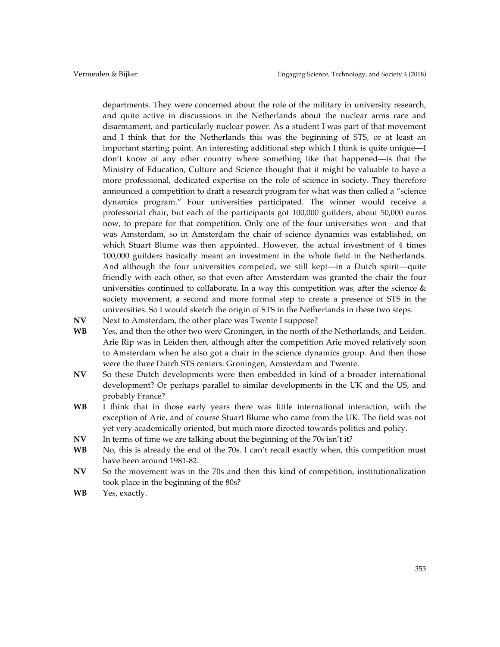departments. They were concerned about the role of the military in university research, and quite active in discussions in the Netherlands about the nuclear arms race and disarmament, and particularly nuclear power. As a student I was part of that movement and I think that for the Netherlands this was the beginning of STS, or at least an important starting point. An interesting additional step which I think is quite unique––I don't know of any other country where something like that happened––is that the Ministry of Education, Culture and Science thought that it might be valuable to have a more professional, dedicated expertise on the role of science in society. They therefore announced a competition to draft a research program for what was then called a "science dynamics program." Four universities participated. The winner would receive a professorial chair, but each of the participants got 100,000 guilders, about 50,000 euros now, to prepare for that competition. Only one of the four universities won––and that was Amsterdam, so in Amsterdam the chair of science dynamics was established, on which Stuart Blume was then appointed. However, the actual investment of 4 times 100,000 guilders basically meant an investment in the whole field in the Netherlands. And although the four universities competed, we still kept––in a Dutch spirit––quite friendly with each other, so that even after Amsterdam was granted the chair the four universities continued to collaborate. In a way this competition was, after the science & society movement, a second and more formal step to create a presence of STS in the universities. So I would sketch the origin of STS in the Netherlands in these two steps.

- NV Next to Amsterdam, the other place was Twente I suppose?
- **WB** Yes, and then the other two were Groningen, in the north of the Netherlands, and Leiden. Arie Rip was in Leiden then, although after the competition Arie moved relatively soon to Amsterdam when he also got a chair in the science dynamics group. And then those were the three Dutch STS centers: Groningen, Amsterdam and Twente.
- **NV** So these Dutch developments were then embedded in kind of a broader international development? Or perhaps parallel to similar developments in the UK and the US, and probably France?
- **WB** I think that in those early years there was little international interaction, with the exception of Arie, and of course Stuart Blume who came from the UK. The field was not yet very academically oriented, but much more directed towards politics and policy.
- **NV** In terms of time we are talking about the beginning of the 70s isn't it?
- **WB** No, this is already the end of the 70s. I can't recall exactly when, this competition must have been around 1981-82.
- **NV** So the movement was in the 70s and then this kind of competition, institutionalization took place in the beginning of the 80s?
- **WB** Yes, exactly.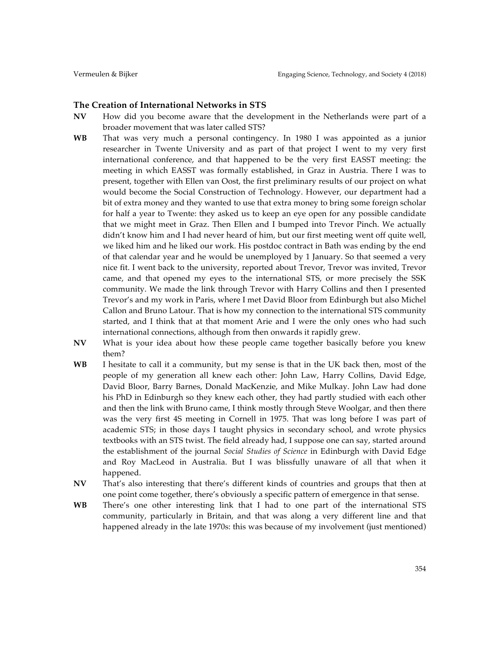### **The Creation of International Networks in STS**

- **NV** How did you become aware that the development in the Netherlands were part of a broader movement that was later called STS?
- **WB** That was very much a personal contingency. In 1980 I was appointed as a junior researcher in Twente University and as part of that project I went to my very first international conference, and that happened to be the very first EASST meeting: the meeting in which EASST was formally established, in Graz in Austria. There I was to present, together with Ellen van Oost, the first preliminary results of our project on what would become the Social Construction of Technology. However, our department had a bit of extra money and they wanted to use that extra money to bring some foreign scholar for half a year to Twente: they asked us to keep an eye open for any possible candidate that we might meet in Graz. Then Ellen and I bumped into Trevor Pinch. We actually didn't know him and I had never heard of him, but our first meeting went off quite well, we liked him and he liked our work. His postdoc contract in Bath was ending by the end of that calendar year and he would be unemployed by 1 January. So that seemed a very nice fit. I went back to the university, reported about Trevor, Trevor was invited, Trevor came, and that opened my eyes to the international STS, or more precisely the SSK community. We made the link through Trevor with Harry Collins and then I presented Trevor's and my work in Paris, where I met David Bloor from Edinburgh but also Michel Callon and Bruno Latour. That is how my connection to the international STS community started, and I think that at that moment Arie and I were the only ones who had such international connections, although from then onwards it rapidly grew.
- **NV** What is your idea about how these people came together basically before you knew them?
- **WB** I hesitate to call it a community, but my sense is that in the UK back then, most of the people of my generation all knew each other: John Law, Harry Collins, David Edge, David Bloor, Barry Barnes, Donald MacKenzie, and Mike Mulkay. John Law had done his PhD in Edinburgh so they knew each other, they had partly studied with each other and then the link with Bruno came, I think mostly through Steve Woolgar, and then there was the very first 4S meeting in Cornell in 1975. That was long before I was part of academic STS; in those days I taught physics in secondary school, and wrote physics textbooks with an STS twist. The field already had, I suppose one can say, started around the establishment of the journal *Social Studies of Science* in Edinburgh with David Edge and Roy MacLeod in Australia. But I was blissfully unaware of all that when it happened.
- **NV** That's also interesting that there's different kinds of countries and groups that then at one point come together, there's obviously a specific pattern of emergence in that sense.
- **WB** There's one other interesting link that I had to one part of the international STS community, particularly in Britain, and that was along a very different line and that happened already in the late 1970s: this was because of my involvement (just mentioned)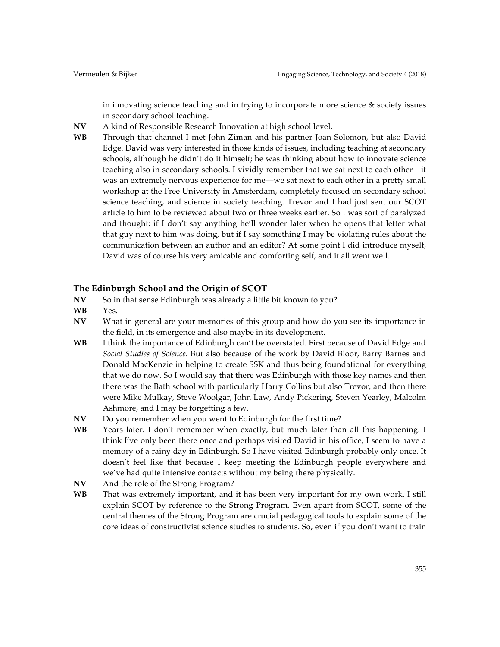in innovating science teaching and in trying to incorporate more science & society issues in secondary school teaching.

- **NV** A kind of Responsible Research Innovation at high school level.
- **WB** Through that channel I met John Ziman and his partner Joan Solomon, but also David Edge. David was very interested in those kinds of issues, including teaching at secondary schools, although he didn't do it himself; he was thinking about how to innovate science teaching also in secondary schools. I vividly remember that we sat next to each other––it was an extremely nervous experience for me––we sat next to each other in a pretty small workshop at the Free University in Amsterdam, completely focused on secondary school science teaching, and science in society teaching. Trevor and I had just sent our SCOT article to him to be reviewed about two or three weeks earlier. So I was sort of paralyzed and thought: if I don't say anything he'll wonder later when he opens that letter what that guy next to him was doing, but if I say something I may be violating rules about the communication between an author and an editor? At some point I did introduce myself, David was of course his very amicable and comforting self, and it all went well.

#### **The Edinburgh School and the Origin of SCOT**

- **NV** So in that sense Edinburgh was already a little bit known to you?
- **WB** Yes.
- **NV** What in general are your memories of this group and how do you see its importance in the field, in its emergence and also maybe in its development.
- **WB** I think the importance of Edinburgh can't be overstated. First because of David Edge and *Social Studies of Science.* But also because of the work by David Bloor, Barry Barnes and Donald MacKenzie in helping to create SSK and thus being foundational for everything that we do now. So I would say that there was Edinburgh with those key names and then there was the Bath school with particularly Harry Collins but also Trevor, and then there were Mike Mulkay, Steve Woolgar, John Law, Andy Pickering, Steven Yearley, Malcolm Ashmore, and I may be forgetting a few.
- **NV** Do you remember when you went to Edinburgh for the first time?
- **WB** Years later. I don't remember when exactly, but much later than all this happening. I think I've only been there once and perhaps visited David in his office, I seem to have a memory of a rainy day in Edinburgh. So I have visited Edinburgh probably only once. It doesn't feel like that because I keep meeting the Edinburgh people everywhere and we've had quite intensive contacts without my being there physically.
- **NV** And the role of the Strong Program?
- **WB** That was extremely important, and it has been very important for my own work. I still explain SCOT by reference to the Strong Program. Even apart from SCOT, some of the central themes of the Strong Program are crucial pedagogical tools to explain some of the core ideas of constructivist science studies to students. So, even if you don't want to train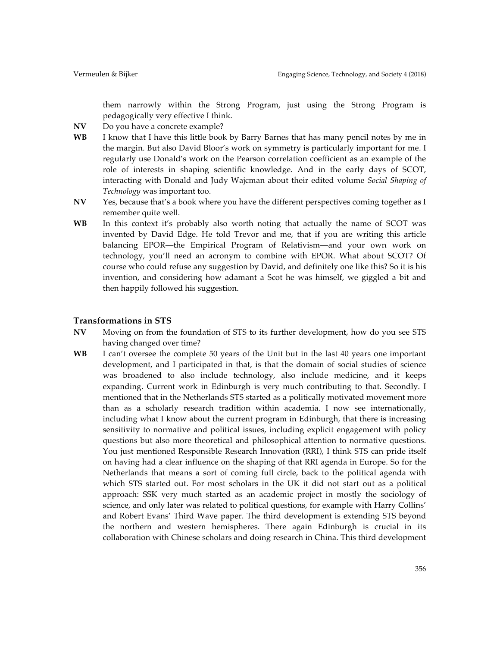them narrowly within the Strong Program, just using the Strong Program is pedagogically very effective I think.

- **NV** Do you have a concrete example?
- **WB** I know that I have this little book by Barry Barnes that has many pencil notes by me in the margin. But also David Bloor's work on symmetry is particularly important for me. I regularly use Donald's work on the Pearson correlation coefficient as an example of the role of interests in shaping scientific knowledge. And in the early days of SCOT, interacting with Donald and Judy Wajcman about their edited volume *Social Shaping of Technology* was important too.
- **NV** Yes, because that's a book where you have the different perspectives coming together as I remember quite well.
- **WB** In this context it's probably also worth noting that actually the name of SCOT was invented by David Edge. He told Trevor and me, that if you are writing this article balancing EPOR––the Empirical Program of Relativism––and your own work on technology, you'll need an acronym to combine with EPOR. What about SCOT? Of course who could refuse any suggestion by David, and definitely one like this? So it is his invention, and considering how adamant a Scot he was himself, we giggled a bit and then happily followed his suggestion.

#### **Transformations in STS**

- **NV** Moving on from the foundation of STS to its further development, how do you see STS having changed over time?
- **WB** I can't oversee the complete 50 years of the Unit but in the last 40 years one important development, and I participated in that, is that the domain of social studies of science was broadened to also include technology, also include medicine, and it keeps expanding. Current work in Edinburgh is very much contributing to that. Secondly. I mentioned that in the Netherlands STS started as a politically motivated movement more than as a scholarly research tradition within academia. I now see internationally, including what I know about the current program in Edinburgh, that there is increasing sensitivity to normative and political issues, including explicit engagement with policy questions but also more theoretical and philosophical attention to normative questions. You just mentioned Responsible Research Innovation (RRI), I think STS can pride itself on having had a clear influence on the shaping of that RRI agenda in Europe. So for the Netherlands that means a sort of coming full circle, back to the political agenda with which STS started out. For most scholars in the UK it did not start out as a political approach: SSK very much started as an academic project in mostly the sociology of science, and only later was related to political questions, for example with Harry Collins' and Robert Evans' Third Wave paper. The third development is extending STS beyond the northern and western hemispheres. There again Edinburgh is crucial in its collaboration with Chinese scholars and doing research in China. This third development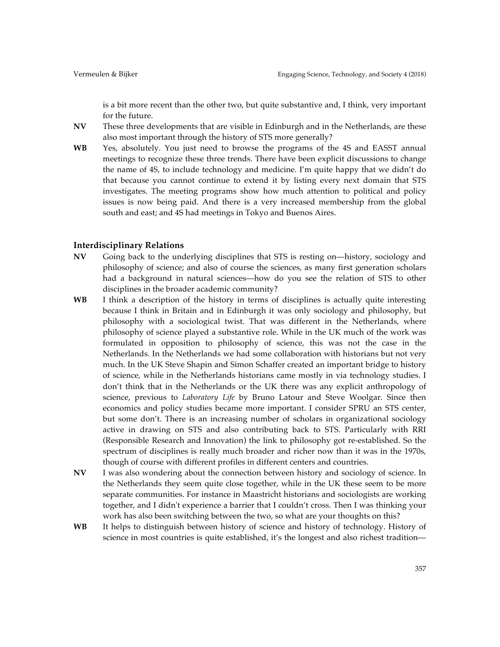is a bit more recent than the other two, but quite substantive and, I think, very important for the future.

- **NV** These three developments that are visible in Edinburgh and in the Netherlands, are these also most important through the history of STS more generally?
- **WB** Yes, absolutely. You just need to browse the programs of the 4S and EASST annual meetings to recognize these three trends. There have been explicit discussions to change the name of 4S, to include technology and medicine. I'm quite happy that we didn't do that because you cannot continue to extend it by listing every next domain that STS investigates. The meeting programs show how much attention to political and policy issues is now being paid. And there is a very increased membership from the global south and east; and 4S had meetings in Tokyo and Buenos Aires.

#### **Interdisciplinary Relations**

- **NV** Going back to the underlying disciplines that STS is resting on—history, sociology and philosophy of science; and also of course the sciences, as many first generation scholars had a background in natural sciences––how do you see the relation of STS to other disciplines in the broader academic community?
- **WB** I think a description of the history in terms of disciplines is actually quite interesting because I think in Britain and in Edinburgh it was only sociology and philosophy, but philosophy with a sociological twist. That was different in the Netherlands, where philosophy of science played a substantive role. While in the UK much of the work was formulated in opposition to philosophy of science, this was not the case in the Netherlands. In the Netherlands we had some collaboration with historians but not very much. In the UK Steve Shapin and Simon Schaffer created an important bridge to history of science, while in the Netherlands historians came mostly in via technology studies. I don't think that in the Netherlands or the UK there was any explicit anthropology of science, previous to *Laboratory Life* by Bruno Latour and Steve Woolgar. Since then economics and policy studies became more important. I consider SPRU an STS center, but some don't. There is an increasing number of scholars in organizational sociology active in drawing on STS and also contributing back to STS. Particularly with RRI (Responsible Research and Innovation) the link to philosophy got re-established. So the spectrum of disciplines is really much broader and richer now than it was in the 1970s, though of course with different profiles in different centers and countries.
- **NV** I was also wondering about the connection between history and sociology of science. In the Netherlands they seem quite close together, while in the UK these seem to be more separate communities. For instance in Maastricht historians and sociologists are working together, and I didn't experience a barrier that I couldn't cross. Then I was thinking your work has also been switching between the two, so what are your thoughts on this?
- **WB** It helps to distinguish between history of science and history of technology. History of science in most countries is quite established, it's the longest and also richest tradition—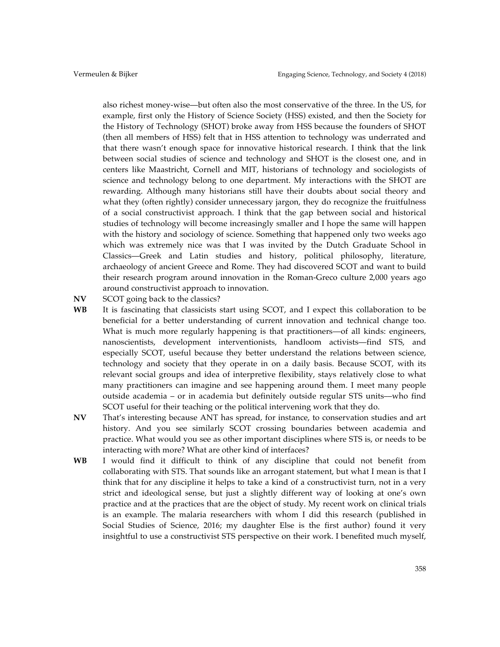also richest money-wise—but often also the most conservative of the three. In the US, for example, first only the History of Science Society (HSS) existed, and then the Society for the History of Technology (SHOT) broke away from HSS because the founders of SHOT (then all members of HSS) felt that in HSS attention to technology was underrated and that there wasn't enough space for innovative historical research. I think that the link between social studies of science and technology and SHOT is the closest one, and in centers like Maastricht, Cornell and MIT, historians of technology and sociologists of science and technology belong to one department. My interactions with the SHOT are rewarding. Although many historians still have their doubts about social theory and what they (often rightly) consider unnecessary jargon, they do recognize the fruitfulness of a social constructivist approach. I think that the gap between social and historical studies of technology will become increasingly smaller and I hope the same will happen with the history and sociology of science. Something that happened only two weeks ago which was extremely nice was that I was invited by the Dutch Graduate School in Classics—Greek and Latin studies and history, political philosophy, literature, archaeology of ancient Greece and Rome. They had discovered SCOT and want to build their research program around innovation in the Roman-Greco culture 2,000 years ago around constructivist approach to innovation.

- **NV** SCOT going back to the classics?
- **WB** It is fascinating that classicists start using SCOT, and I expect this collaboration to be beneficial for a better understanding of current innovation and technical change too. What is much more regularly happening is that practitioners—of all kinds: engineers, nanoscientists, development interventionists, handloom activists—find STS, and especially SCOT, useful because they better understand the relations between science, technology and society that they operate in on a daily basis. Because SCOT, with its relevant social groups and idea of interpretive flexibility, stays relatively close to what many practitioners can imagine and see happening around them. I meet many people outside academia – or in academia but definitely outside regular STS units––who find SCOT useful for their teaching or the political intervening work that they do.
- **NV** That's interesting because ANT has spread, for instance, to conservation studies and art history. And you see similarly SCOT crossing boundaries between academia and practice. What would you see as other important disciplines where STS is, or needs to be interacting with more? What are other kind of interfaces?
- **WB** I would find it difficult to think of any discipline that could not benefit from collaborating with STS. That sounds like an arrogant statement, but what I mean is that I think that for any discipline it helps to take a kind of a constructivist turn, not in a very strict and ideological sense, but just a slightly different way of looking at one's own practice and at the practices that are the object of study. My recent work on clinical trials is an example. The malaria researchers with whom I did this research (published in Social Studies of Science, 2016; my daughter Else is the first author) found it very insightful to use a constructivist STS perspective on their work. I benefited much myself,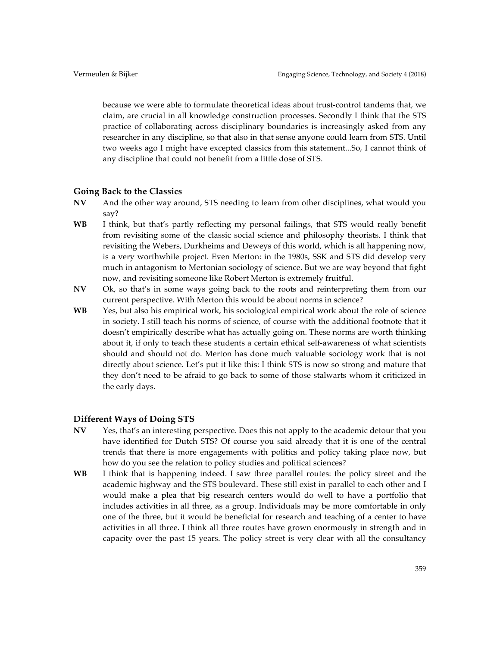because we were able to formulate theoretical ideas about trust-control tandems that, we claim, are crucial in all knowledge construction processes. Secondly I think that the STS practice of collaborating across disciplinary boundaries is increasingly asked from any researcher in any discipline, so that also in that sense anyone could learn from STS. Until two weeks ago I might have excepted classics from this statement...So, I cannot think of any discipline that could not benefit from a little dose of STS.

#### **Going Back to the Classics**

- **NV** And the other way around, STS needing to learn from other disciplines, what would you say?
- **WB** I think, but that's partly reflecting my personal failings, that STS would really benefit from revisiting some of the classic social science and philosophy theorists. I think that revisiting the Webers, Durkheims and Deweys of this world, which is all happening now, is a very worthwhile project. Even Merton: in the 1980s, SSK and STS did develop very much in antagonism to Mertonian sociology of science. But we are way beyond that fight now, and revisiting someone like Robert Merton is extremely fruitful.
- **NV** Ok, so that's in some ways going back to the roots and reinterpreting them from our current perspective. With Merton this would be about norms in science?
- **WB** Yes, but also his empirical work, his sociological empirical work about the role of science in society. I still teach his norms of science, of course with the additional footnote that it doesn't empirically describe what has actually going on. These norms are worth thinking about it, if only to teach these students a certain ethical self-awareness of what scientists should and should not do. Merton has done much valuable sociology work that is not directly about science. Let's put it like this: I think STS is now so strong and mature that they don't need to be afraid to go back to some of those stalwarts whom it criticized in the early days.

## **Different Ways of Doing STS**

- **NV** Yes, that's an interesting perspective. Does this not apply to the academic detour that you have identified for Dutch STS? Of course you said already that it is one of the central trends that there is more engagements with politics and policy taking place now, but how do you see the relation to policy studies and political sciences?
- **WB** I think that is happening indeed. I saw three parallel routes: the policy street and the academic highway and the STS boulevard. These still exist in parallel to each other and I would make a plea that big research centers would do well to have a portfolio that includes activities in all three, as a group. Individuals may be more comfortable in only one of the three, but it would be beneficial for research and teaching of a center to have activities in all three. I think all three routes have grown enormously in strength and in capacity over the past 15 years. The policy street is very clear with all the consultancy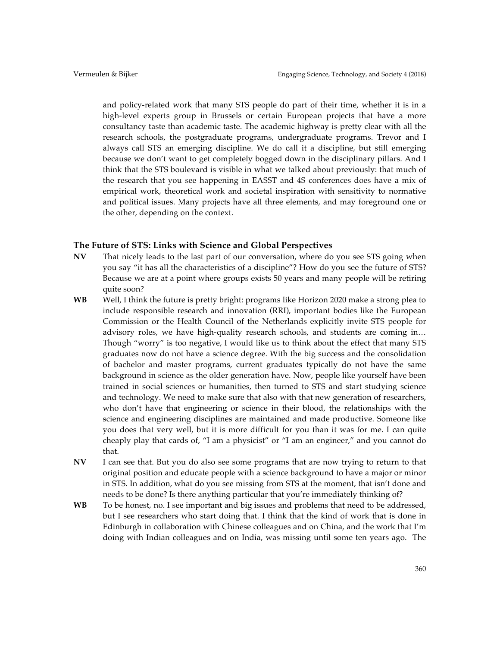and policy-related work that many STS people do part of their time, whether it is in a high-level experts group in Brussels or certain European projects that have a more consultancy taste than academic taste. The academic highway is pretty clear with all the research schools, the postgraduate programs, undergraduate programs. Trevor and I always call STS an emerging discipline. We do call it a discipline, but still emerging because we don't want to get completely bogged down in the disciplinary pillars. And I think that the STS boulevard is visible in what we talked about previously: that much of the research that you see happening in EASST and 4S conferences does have a mix of empirical work, theoretical work and societal inspiration with sensitivity to normative and political issues. Many projects have all three elements, and may foreground one or the other, depending on the context.

#### **The Future of STS: Links with Science and Global Perspectives**

- **NV** That nicely leads to the last part of our conversation, where do you see STS going when you say "it has all the characteristics of a discipline"? How do you see the future of STS? Because we are at a point where groups exists 50 years and many people will be retiring quite soon?
- **WB** Well, I think the future is pretty bright: programs like Horizon 2020 make a strong plea to include responsible research and innovation (RRI), important bodies like the European Commission or the Health Council of the Netherlands explicitly invite STS people for advisory roles, we have high-quality research schools, and students are coming in… Though "worry" is too negative, I would like us to think about the effect that many STS graduates now do not have a science degree. With the big success and the consolidation of bachelor and master programs, current graduates typically do not have the same background in science as the older generation have. Now, people like yourself have been trained in social sciences or humanities, then turned to STS and start studying science and technology. We need to make sure that also with that new generation of researchers, who don't have that engineering or science in their blood, the relationships with the science and engineering disciplines are maintained and made productive. Someone like you does that very well, but it is more difficult for you than it was for me. I can quite cheaply play that cards of, "I am a physicist" or "I am an engineer," and you cannot do that.
- **NV** I can see that. But you do also see some programs that are now trying to return to that original position and educate people with a science background to have a major or minor in STS. In addition, what do you see missing from STS at the moment, that isn't done and needs to be done? Is there anything particular that you're immediately thinking of?
- **WB** To be honest, no. I see important and big issues and problems that need to be addressed, but I see researchers who start doing that. I think that the kind of work that is done in Edinburgh in collaboration with Chinese colleagues and on China, and the work that I'm doing with Indian colleagues and on India, was missing until some ten years ago. The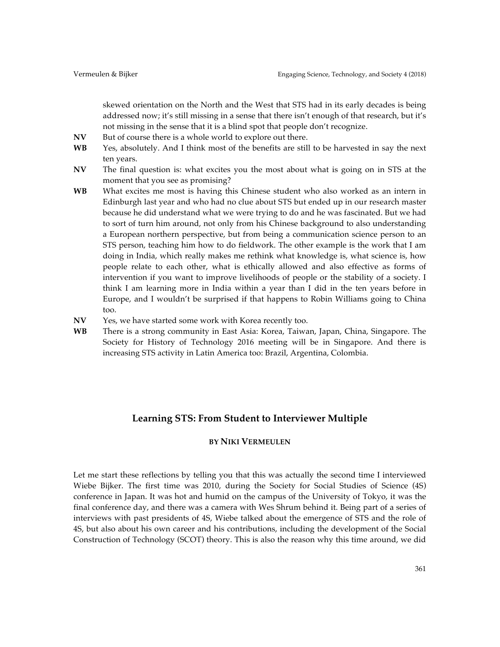skewed orientation on the North and the West that STS had in its early decades is being addressed now; it's still missing in a sense that there isn't enough of that research, but it's not missing in the sense that it is a blind spot that people don't recognize.

- **NV** But of course there is a whole world to explore out there.
- **WB** Yes, absolutely. And I think most of the benefits are still to be harvested in say the next ten years.
- **NV** The final question is: what excites you the most about what is going on in STS at the moment that you see as promising?
- **WB** What excites me most is having this Chinese student who also worked as an intern in Edinburgh last year and who had no clue about STS but ended up in our research master because he did understand what we were trying to do and he was fascinated. But we had to sort of turn him around, not only from his Chinese background to also understanding a European northern perspective, but from being a communication science person to an STS person, teaching him how to do fieldwork. The other example is the work that I am doing in India, which really makes me rethink what knowledge is, what science is, how people relate to each other, what is ethically allowed and also effective as forms of intervention if you want to improve livelihoods of people or the stability of a society. I think I am learning more in India within a year than I did in the ten years before in Europe, and I wouldn't be surprised if that happens to Robin Williams going to China too.
- **NV** Yes, we have started some work with Korea recently too.
- **WB** There is a strong community in East Asia: Korea, Taiwan, Japan, China, Singapore. The Society for History of Technology 2016 meeting will be in Singapore. And there is increasing STS activity in Latin America too: Brazil, Argentina, Colombia.

## **Learning STS: From Student to Interviewer Multiple**

### **BY NIKI VERMEULEN**

Let me start these reflections by telling you that this was actually the second time I interviewed Wiebe Bijker. The first time was 2010, during the Society for Social Studies of Science (4S) conference in Japan. It was hot and humid on the campus of the University of Tokyo, it was the final conference day, and there was a camera with Wes Shrum behind it. Being part of a series of interviews with past presidents of 4S, Wiebe talked about the emergence of STS and the role of 4S, but also about his own career and his contributions, including the development of the Social Construction of Technology (SCOT) theory. This is also the reason why this time around, we did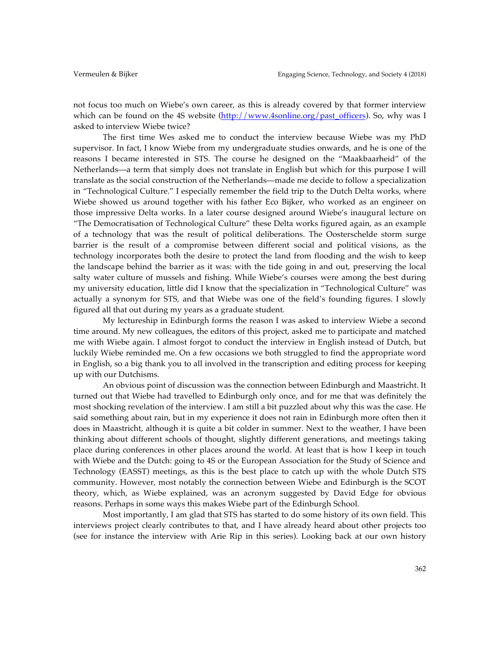not focus too much on Wiebe's own career, as this is already covered by that former interview which can be found on the 4S website  $\frac{http://www.4sonline.org/past_officers)}{http://www.4sonline.org/past_officers)}$ . So, why was I asked to interview Wiebe twice?

The first time Wes asked me to conduct the interview because Wiebe was my PhD supervisor. In fact, I know Wiebe from my undergraduate studies onwards, and he is one of the reasons I became interested in STS. The course he designed on the "Maakbaarheid" of the Netherlands––a term that simply does not translate in English but which for this purpose I will translate as the social construction of the Netherlands––made me decide to follow a specialization in "Technological Culture." I especially remember the field trip to the Dutch Delta works, where Wiebe showed us around together with his father Eco Bijker, who worked as an engineer on those impressive Delta works. In a later course designed around Wiebe's inaugural lecture on "The Democratisation of Technological Culture" these Delta works figured again, as an example of a technology that was the result of political deliberations. The Oosterschelde storm surge barrier is the result of a compromise between different social and political visions, as the technology incorporates both the desire to protect the land from flooding and the wish to keep the landscape behind the barrier as it was: with the tide going in and out, preserving the local salty water culture of mussels and fishing. While Wiebe's courses were among the best during my university education, little did I know that the specialization in "Technological Culture" was actually a synonym for STS, and that Wiebe was one of the field's founding figures. I slowly figured all that out during my years as a graduate student.

My lectureship in Edinburgh forms the reason I was asked to interview Wiebe a second time around. My new colleagues, the editors of this project, asked me to participate and matched me with Wiebe again. I almost forgot to conduct the interview in English instead of Dutch, but luckily Wiebe reminded me. On a few occasions we both struggled to find the appropriate word in English, so a big thank you to all involved in the transcription and editing process for keeping up with our Dutchisms.

An obvious point of discussion was the connection between Edinburgh and Maastricht. It turned out that Wiebe had travelled to Edinburgh only once, and for me that was definitely the most shocking revelation of the interview. I am still a bit puzzled about why this was the case. He said something about rain, but in my experience it does not rain in Edinburgh more often then it does in Maastricht, although it is quite a bit colder in summer. Next to the weather, I have been thinking about different schools of thought, slightly different generations, and meetings taking place during conferences in other places around the world. At least that is how I keep in touch with Wiebe and the Dutch: going to 4S or the European Association for the Study of Science and Technology (EASST) meetings, as this is the best place to catch up with the whole Dutch STS community. However, most notably the connection between Wiebe and Edinburgh is the SCOT theory, which, as Wiebe explained, was an acronym suggested by David Edge for obvious reasons. Perhaps in some ways this makes Wiebe part of the Edinburgh School.

Most importantly, I am glad that STS has started to do some history of its own field. This interviews project clearly contributes to that, and I have already heard about other projects too (see for instance the interview with Arie Rip in this series). Looking back at our own history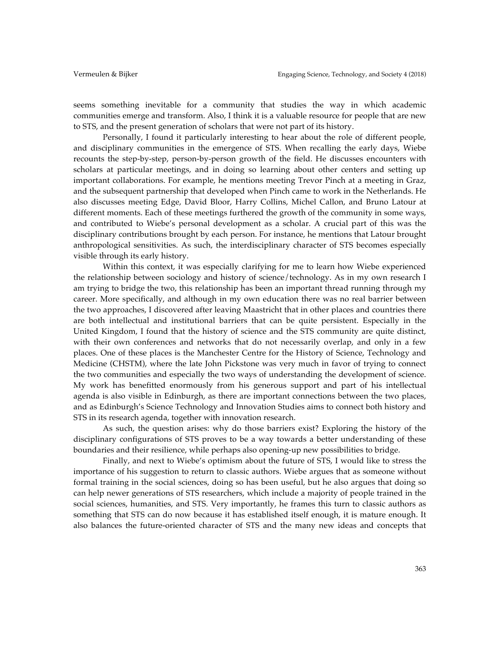seems something inevitable for a community that studies the way in which academic communities emerge and transform. Also, I think it is a valuable resource for people that are new to STS, and the present generation of scholars that were not part of its history.

Personally, I found it particularly interesting to hear about the role of different people, and disciplinary communities in the emergence of STS. When recalling the early days, Wiebe recounts the step-by-step, person-by-person growth of the field. He discusses encounters with scholars at particular meetings, and in doing so learning about other centers and setting up important collaborations. For example, he mentions meeting Trevor Pinch at a meeting in Graz, and the subsequent partnership that developed when Pinch came to work in the Netherlands. He also discusses meeting Edge, David Bloor, Harry Collins, Michel Callon, and Bruno Latour at different moments. Each of these meetings furthered the growth of the community in some ways, and contributed to Wiebe's personal development as a scholar. A crucial part of this was the disciplinary contributions brought by each person. For instance, he mentions that Latour brought anthropological sensitivities. As such, the interdisciplinary character of STS becomes especially visible through its early history.

Within this context, it was especially clarifying for me to learn how Wiebe experienced the relationship between sociology and history of science/technology. As in my own research I am trying to bridge the two, this relationship has been an important thread running through my career. More specifically, and although in my own education there was no real barrier between the two approaches, I discovered after leaving Maastricht that in other places and countries there are both intellectual and institutional barriers that can be quite persistent. Especially in the United Kingdom, I found that the history of science and the STS community are quite distinct, with their own conferences and networks that do not necessarily overlap, and only in a few places. One of these places is the Manchester Centre for the History of Science, Technology and Medicine (CHSTM), where the late John Pickstone was very much in favor of trying to connect the two communities and especially the two ways of understanding the development of science. My work has benefitted enormously from his generous support and part of his intellectual agenda is also visible in Edinburgh, as there are important connections between the two places, and as Edinburgh's Science Technology and Innovation Studies aims to connect both history and STS in its research agenda, together with innovation research.

As such, the question arises: why do those barriers exist? Exploring the history of the disciplinary configurations of STS proves to be a way towards a better understanding of these boundaries and their resilience, while perhaps also opening-up new possibilities to bridge.

Finally, and next to Wiebe's optimism about the future of STS, I would like to stress the importance of his suggestion to return to classic authors. Wiebe argues that as someone without formal training in the social sciences, doing so has been useful, but he also argues that doing so can help newer generations of STS researchers, which include a majority of people trained in the social sciences, humanities, and STS. Very importantly, he frames this turn to classic authors as something that STS can do now because it has established itself enough, it is mature enough. It also balances the future-oriented character of STS and the many new ideas and concepts that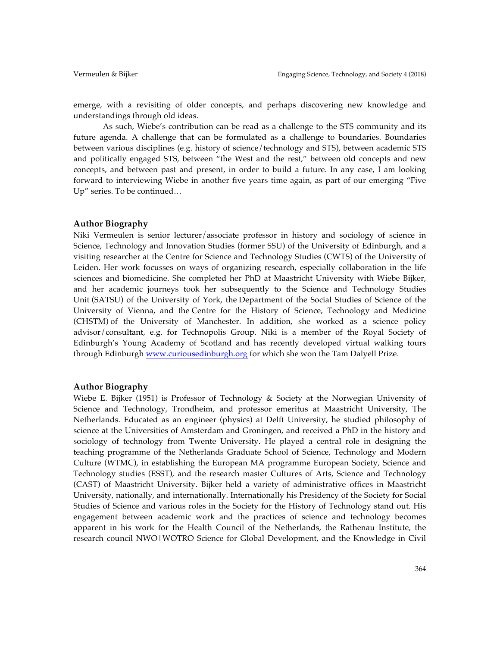emerge, with a revisiting of older concepts, and perhaps discovering new knowledge and understandings through old ideas.

As such, Wiebe's contribution can be read as a challenge to the STS community and its future agenda. A challenge that can be formulated as a challenge to boundaries. Boundaries between various disciplines (e.g. history of science/technology and STS), between academic STS and politically engaged STS, between "the West and the rest," between old concepts and new concepts, and between past and present, in order to build a future. In any case, I am looking forward to interviewing Wiebe in another five years time again, as part of our emerging "Five Up" series. To be continued…

#### **Author Biography**

Niki Vermeulen is senior lecturer/associate professor in history and sociology of science in Science, Technology and Innovation Studies (former SSU) of the University of Edinburgh, and a visiting researcher at the Centre for Science and Technology Studies (CWTS) of the University of Leiden. Her work focusses on ways of organizing research, especially collaboration in the life sciences and biomedicine. She completed her PhD at Maastricht University with Wiebe Bijker, and her academic journeys took her subsequently to the Science and Technology Studies Unit (SATSU) of the University of York, the Department of the Social Studies of Science of the University of Vienna, and the Centre for the History of Science, Technology and Medicine (CHSTM) of the University of Manchester. In addition, she worked as a science policy advisor/consultant, e.g. for Technopolis Group. Niki is a member of the Royal Society of Edinburgh's Young Academy of Scotland and has recently developed virtual walking tours through Edinburgh www.curiousedinburgh.org for which she won the Tam Dalyell Prize.

#### **Author Biography**

Wiebe E. Bijker (1951) is Professor of Technology & Society at the Norwegian University of Science and Technology, Trondheim, and professor emeritus at Maastricht University, The Netherlands. Educated as an engineer (physics) at Delft University, he studied philosophy of science at the Universities of Amsterdam and Groningen, and received a PhD in the history and sociology of technology from Twente University. He played a central role in designing the teaching programme of the Netherlands Graduate School of Science, Technology and Modern Culture (WTMC), in establishing the European MA programme European Society, Science and Technology studies (ESST), and the research master Cultures of Arts, Science and Technology (CAST) of Maastricht University. Bijker held a variety of administrative offices in Maastricht University, nationally, and internationally. Internationally his Presidency of the Society for Social Studies of Science and various roles in the Society for the History of Technology stand out. His engagement between academic work and the practices of science and technology becomes apparent in his work for the Health Council of the Netherlands, the Rathenau Institute, the research council NWO|WOTRO Science for Global Development, and the Knowledge in Civil